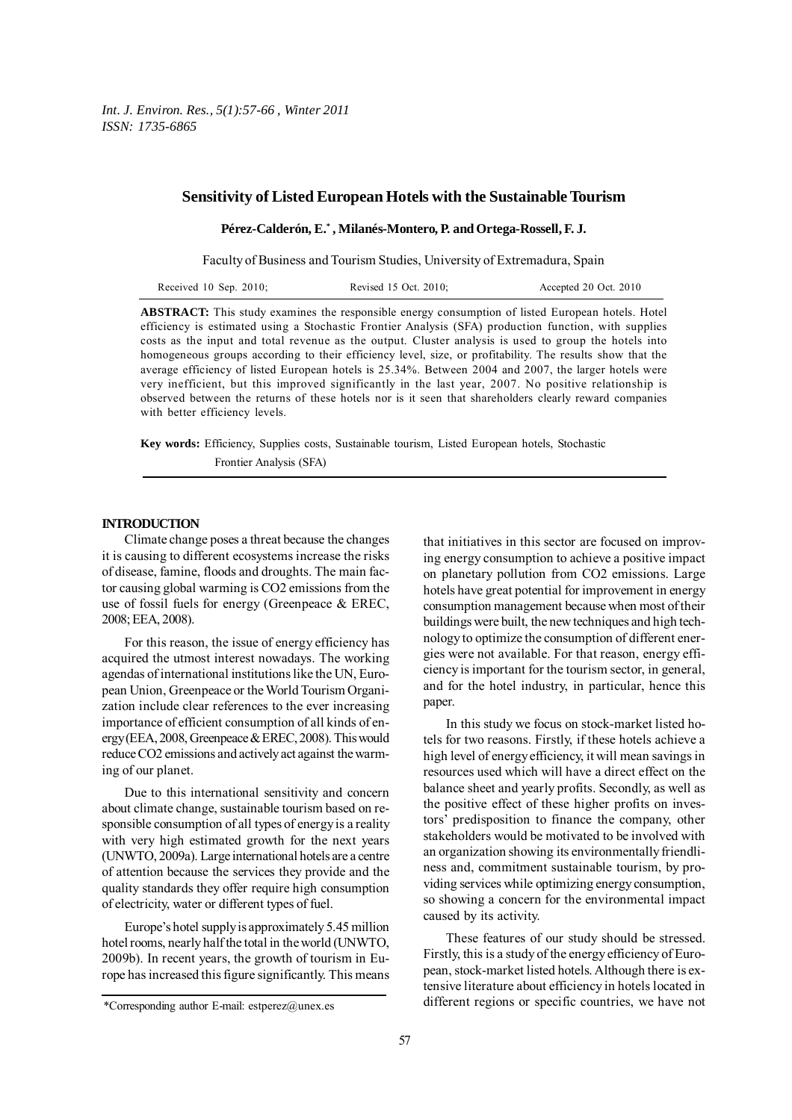## **Sensitivity of Listed European Hotels with the Sustainable Tourism**

**Pérez-Calderón, E.\* , Milanés-Montero, P. and Ortega-Rossell, F. J.**

Faculty of Business and Tourism Studies, University of Extremadura, Spain

| Received 10 Sep. $2010$ ; | Revised 15 Oct. 2010; | Accepted 20 Oct. 2010 |
|---------------------------|-----------------------|-----------------------|
|---------------------------|-----------------------|-----------------------|

**ABSTRACT:** This study examines the responsible energy consumption of listed European hotels. Hotel efficiency is estimated using a Stochastic Frontier Analysis (SFA) production function, with supplies costs as the input and total revenue as the output. Cluster analysis is used to group the hotels into homogeneous groups according to their efficiency level, size, or profitability. The results show that the average efficiency of listed European hotels is 25.34%. Between 2004 and 2007, the larger hotels were very inefficient, but this improved significantly in the last year, 2007. No positive relationship is observed between the returns of these hotels nor is it seen that shareholders clearly reward companies with better efficiency levels.

**Key words:** Efficiency, Supplies costs, Sustainable tourism, Listed European hotels, Stochastic Frontier Analysis (SFA)

## **INTRODUCTION**

Climate change poses a threat because the changes it is causing to different ecosystems increase the risks of disease, famine, floods and droughts. The main factor causing global warming is CO2 emissions from the use of fossil fuels for energy (Greenpeace & EREC, 2008; EEA, 2008).

For this reason, the issue of energy efficiency has acquired the utmost interest nowadays. The working agendas of international institutions like the UN, European Union, Greenpeace or the World Tourism Organization include clear references to the ever increasing importance of efficient consumption of all kinds of energy (EEA, 2008, Greenpeace & EREC, 2008). This would reduce CO2 emissions and actively act against the warming of our planet.

Due to this international sensitivity and concern about climate change, sustainable tourism based on responsible consumption of all types of energy is a reality with very high estimated growth for the next years (UNWTO, 2009a). Large international hotels are a centre of attention because the services they provide and the quality standards they offer require high consumption of electricity, water or different types of fuel.

Europe's hotel supply is approximately 5.45 million hotel rooms, nearly half the total in the world (UNWTO, 2009b). In recent years, the growth of tourism in Europe has increased this figure significantly. This means that initiatives in this sector are focused on improving energy consumption to achieve a positive impact on planetary pollution from CO2 emissions. Large hotels have great potential for improvement in energy consumption management because when most of their buildings were built, the new techniques and high technology to optimize the consumption of different energies were not available. For that reason, energy efficiency is important for the tourism sector, in general, and for the hotel industry, in particular, hence this paper.

In this study we focus on stock-market listed hotels for two reasons. Firstly, if these hotels achieve a high level of energy efficiency, it will mean savings in resources used which will have a direct effect on the balance sheet and yearly profits. Secondly, as well as the positive effect of these higher profits on investors' predisposition to finance the company, other stakeholders would be motivated to be involved with an organization showing its environmentally friendliness and, commitment sustainable tourism, by providing services while optimizing energy consumption, so showing a concern for the environmental impact caused by its activity.

These features of our study should be stressed. Firstly, this is a study of the energy efficiency of European, stock-market listed hotels. Although there is extensive literature about efficiency in hotels located in different regions or specific countries, we have not

<sup>\*</sup>Corresponding author E-mail: estperez@unex.es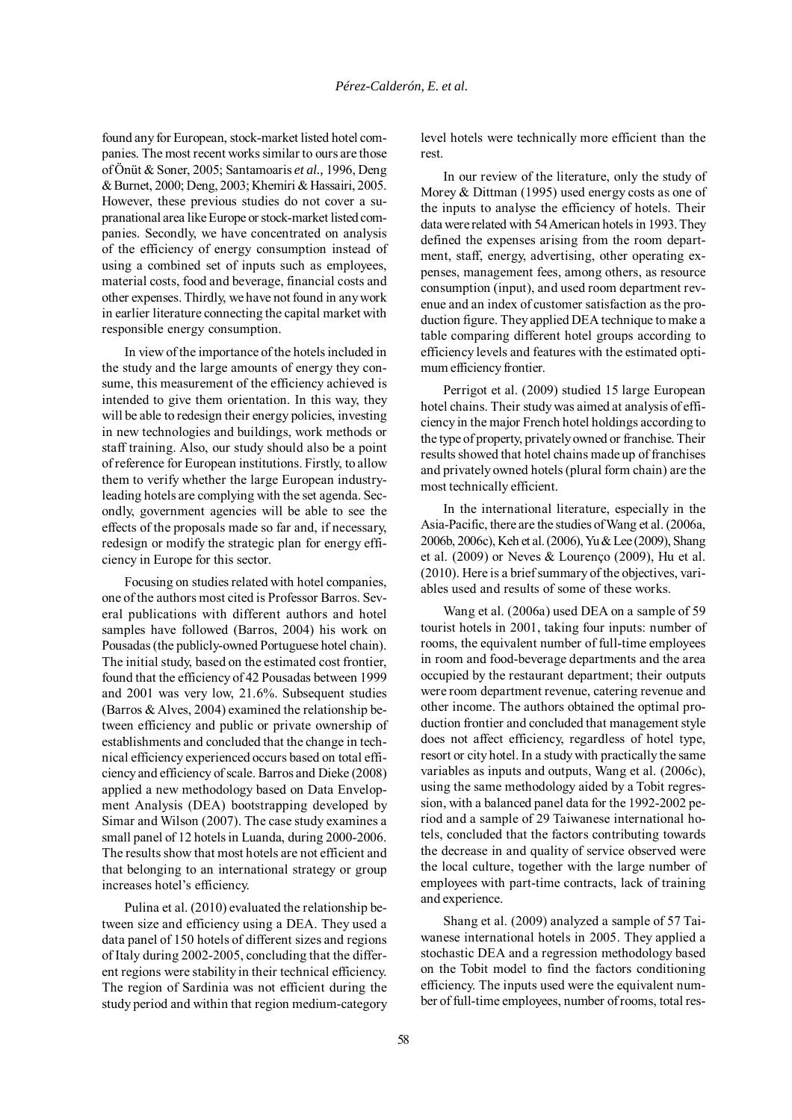found any for European, stock-market listed hotel companies. The most recent works similar to ours are those of Önüt & Soner, 2005; Santamoaris *et al.,* 1996, Deng & Burnet, 2000; Deng, 2003; Khemiri & Hassairi, 2005. However, these previous studies do not cover a supranational area like Europe or stock-market listed companies. Secondly, we have concentrated on analysis of the efficiency of energy consumption instead of using a combined set of inputs such as employees, material costs, food and beverage, financial costs and other expenses. Thirdly, we have not found in any work in earlier literature connecting the capital market with responsible energy consumption.

In view of the importance of the hotels included in the study and the large amounts of energy they consume, this measurement of the efficiency achieved is intended to give them orientation. In this way, they will be able to redesign their energy policies, investing in new technologies and buildings, work methods or staff training. Also, our study should also be a point of reference for European institutions. Firstly, to allow them to verify whether the large European industryleading hotels are complying with the set agenda. Secondly, government agencies will be able to see the effects of the proposals made so far and, if necessary, redesign or modify the strategic plan for energy efficiency in Europe for this sector.

Focusing on studies related with hotel companies, one of the authors most cited is Professor Barros. Several publications with different authors and hotel samples have followed (Barros, 2004) his work on Pousadas (the publicly-owned Portuguese hotel chain). The initial study, based on the estimated cost frontier, found that the efficiency of 42 Pousadas between 1999 and 2001 was very low, 21.6%. Subsequent studies (Barros & Alves, 2004) examined the relationship between efficiency and public or private ownership of establishments and concluded that the change in technical efficiency experienced occurs based on total efficiency and efficiency of scale. Barros and Dieke (2008) applied a new methodology based on Data Envelopment Analysis (DEA) bootstrapping developed by Simar and Wilson (2007). The case study examines a small panel of 12 hotels in Luanda, during 2000-2006. The results show that most hotels are not efficient and that belonging to an international strategy or group increases hotel's efficiency.

Pulina et al. (2010) evaluated the relationship between size and efficiency using a DEA. They used a data panel of 150 hotels of different sizes and regions of Italy during 2002-2005, concluding that the different regions were stability in their technical efficiency. The region of Sardinia was not efficient during the study period and within that region medium-category

level hotels were technically more efficient than the rest.

In our review of the literature, only the study of Morey & Dittman (1995) used energy costs as one of the inputs to analyse the efficiency of hotels. Their data were related with 54 American hotels in 1993. They defined the expenses arising from the room department, staff, energy, advertising, other operating expenses, management fees, among others, as resource consumption (input), and used room department revenue and an index of customer satisfaction as the production figure. They applied DEA technique to make a table comparing different hotel groups according to efficiency levels and features with the estimated optimum efficiency frontier.

Perrigot et al. (2009) studied 15 large European hotel chains. Their study was aimed at analysis of efficiency in the major French hotel holdings according to the type of property, privately owned or franchise. Their results showed that hotel chains made up of franchises and privately owned hotels (plural form chain) are the most technically efficient.

In the international literature, especially in the Asia-Pacific, there are the studies of Wang et al. (2006a, 2006b, 2006c), Keh et al. (2006), Yu & Lee (2009), Shang et al. (2009) or Neves & Lourenço (2009), Hu et al. (2010). Here is a brief summary of the objectives, variables used and results of some of these works.

Wang et al. (2006a) used DEA on a sample of 59 tourist hotels in 2001, taking four inputs: number of rooms, the equivalent number of full-time employees in room and food-beverage departments and the area occupied by the restaurant department; their outputs were room department revenue, catering revenue and other income. The authors obtained the optimal production frontier and concluded that management style does not affect efficiency, regardless of hotel type, resort or city hotel. In a study with practically the same variables as inputs and outputs, Wang et al. (2006c), using the same methodology aided by a Tobit regression, with a balanced panel data for the 1992-2002 period and a sample of 29 Taiwanese international hotels, concluded that the factors contributing towards the decrease in and quality of service observed were the local culture, together with the large number of employees with part-time contracts, lack of training and experience.

Shang et al. (2009) analyzed a sample of 57 Taiwanese international hotels in 2005. They applied a stochastic DEA and a regression methodology based on the Tobit model to find the factors conditioning efficiency. The inputs used were the equivalent number of full-time employees, number of rooms, total res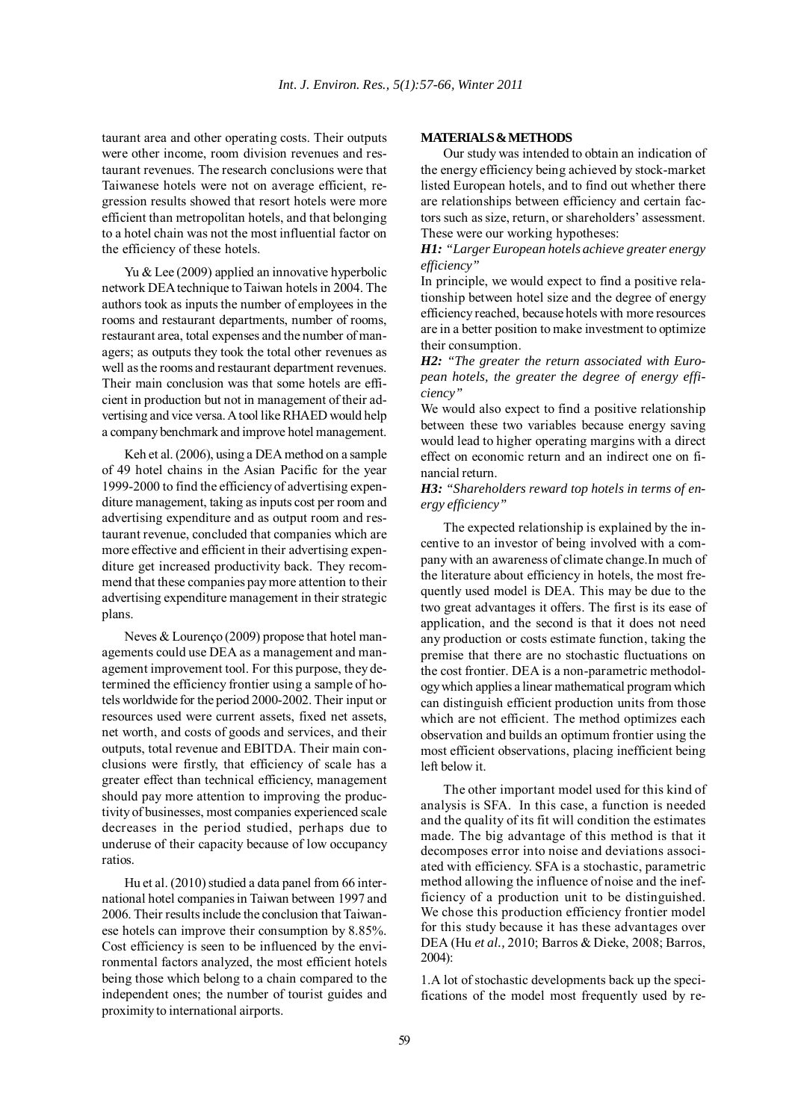taurant area and other operating costs. Their outputs were other income, room division revenues and restaurant revenues. The research conclusions were that Taiwanese hotels were not on average efficient, regression results showed that resort hotels were more efficient than metropolitan hotels, and that belonging to a hotel chain was not the most influential factor on the efficiency of these hotels.

Yu & Lee (2009) applied an innovative hyperbolic network DEA technique to Taiwan hotels in 2004. The authors took as inputs the number of employees in the rooms and restaurant departments, number of rooms, restaurant area, total expenses and the number of managers; as outputs they took the total other revenues as well as the rooms and restaurant department revenues. Their main conclusion was that some hotels are efficient in production but not in management of their advertising and vice versa. A tool like RHAED would help a company benchmark and improve hotel management.

Keh et al. (2006), using a DEA method on a sample of 49 hotel chains in the Asian Pacific for the year 1999-2000 to find the efficiency of advertising expenditure management, taking as inputs cost per room and advertising expenditure and as output room and restaurant revenue, concluded that companies which are more effective and efficient in their advertising expenditure get increased productivity back. They recommend that these companies pay more attention to their advertising expenditure management in their strategic plans.

Neves & Lourenço (2009) propose that hotel managements could use DEA as a management and management improvement tool. For this purpose, they determined the efficiency frontier using a sample of hotels worldwide for the period 2000-2002. Their input or resources used were current assets, fixed net assets, net worth, and costs of goods and services, and their outputs, total revenue and EBITDA. Their main conclusions were firstly, that efficiency of scale has a greater effect than technical efficiency, management should pay more attention to improving the productivity of businesses, most companies experienced scale decreases in the period studied, perhaps due to underuse of their capacity because of low occupancy ratios.

Hu et al. (2010) studied a data panel from 66 international hotel companies in Taiwan between 1997 and 2006. Their results include the conclusion that Taiwanese hotels can improve their consumption by 8.85%. Cost efficiency is seen to be influenced by the environmental factors analyzed, the most efficient hotels being those which belong to a chain compared to the independent ones; the number of tourist guides and proximity to international airports.

## **MATERIALS & METHODS**

Our study was intended to obtain an indication of the energy efficiency being achieved by stock-market listed European hotels, and to find out whether there are relationships between efficiency and certain factors such as size, return, or shareholders' assessment. These were our working hypotheses:

*H1: "Larger European hotels achieve greater energy efficiency"*

In principle, we would expect to find a positive relationship between hotel size and the degree of energy efficiency reached, because hotels with more resources are in a better position to make investment to optimize their consumption.

*H2: "The greater the return associated with European hotels, the greater the degree of energy efficiency"*

We would also expect to find a positive relationship between these two variables because energy saving would lead to higher operating margins with a direct effect on economic return and an indirect one on financial return.

*H3: "Shareholders reward top hotels in terms of energy efficiency"*

The expected relationship is explained by the incentive to an investor of being involved with a company with an awareness of climate change.In much of the literature about efficiency in hotels, the most frequently used model is DEA. This may be due to the two great advantages it offers. The first is its ease of application, and the second is that it does not need any production or costs estimate function, taking the premise that there are no stochastic fluctuations on the cost frontier. DEA is a non-parametric methodology which applies a linear mathematical program which can distinguish efficient production units from those which are not efficient. The method optimizes each observation and builds an optimum frontier using the most efficient observations, placing inefficient being left below it.

The other important model used for this kind of analysis is SFA. In this case, a function is needed and the quality of its fit will condition the estimates made. The big advantage of this method is that it decomposes error into noise and deviations associated with efficiency. SFA is a stochastic, parametric method allowing the influence of noise and the inefficiency of a production unit to be distinguished. We chose this production efficiency frontier model for this study because it has these advantages over DEA (Hu *et al.,* 2010; Barros & Dieke, 2008; Barros, 2004):

1.A lot of stochastic developments back up the specifications of the model most frequently used by re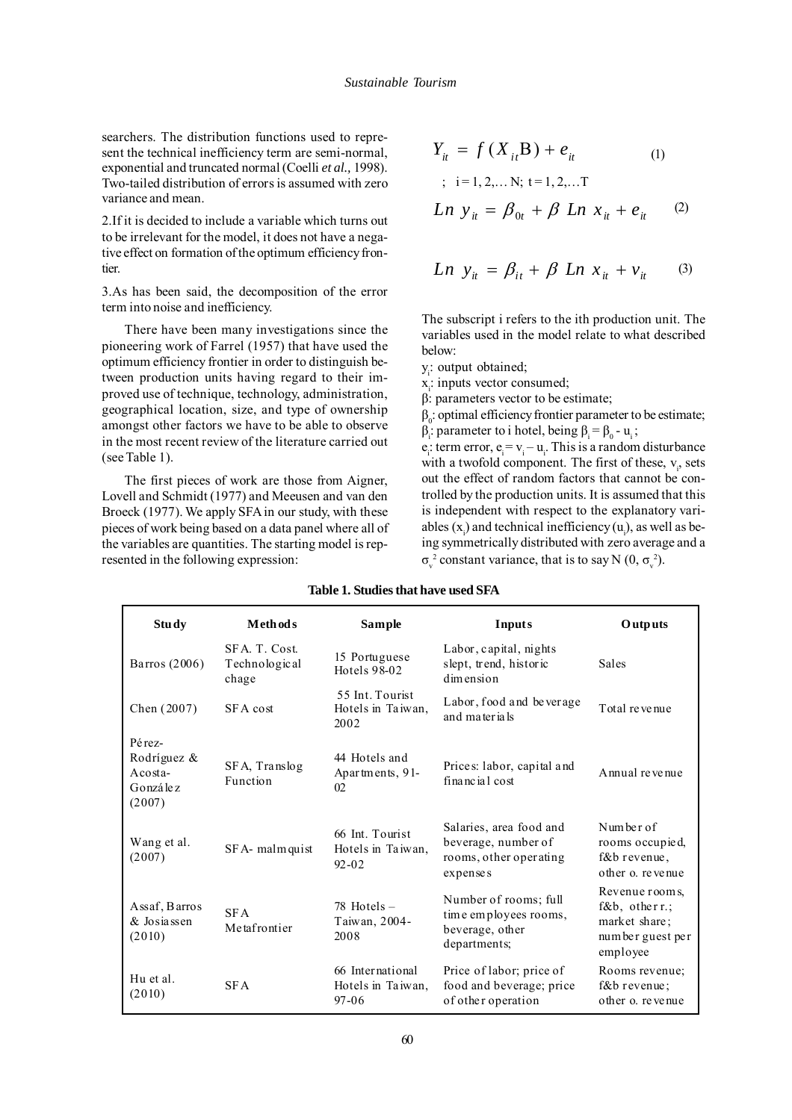searchers. The distribution functions used to represent the technical inefficiency term are semi-normal, exponential and truncated normal (Coelli *et al.,* 1998). Two-tailed distribution of errors is assumed with zero variance and mean.

2.If it is decided to include a variable which turns out to be irrelevant for the model, it does not have a negative effect on formation of the optimum efficiency frontier.

3.As has been said, the decomposition of the error term into noise and inefficiency.

There have been many investigations since the pioneering work of Farrel (1957) that have used the optimum efficiency frontier in order to distinguish between production units having regard to their improved use of technique, technology, administration, geographical location, size, and type of ownership amongst other factors we have to be able to observe in the most recent review of the literature carried out (see Table 1).

The first pieces of work are those from Aigner, Lovell and Schmidt (1977) and Meeusen and van den Broeck (1977). We apply SFA in our study, with these pieces of work being based on a data panel where all of the variables are quantities. The starting model is represented in the following expression:

$$
Y_{it} = f(X_{it}B) + e_{it}
$$
  
\n
$$
; i=1,2,... N; t=1,2,... T
$$
  
\n*Ln*  $y_{it} = \beta_{0t} + \beta$  *Ln*  $x_{it} + e_{it}$  (2)

$$
Ln y_{it} = \beta_{it} + \beta Ln x_{it} + v_{it} \qquad (3)
$$

The subscript i refers to the ith production unit. The variables used in the model relate to what described below:

- y<sub>i</sub>: output obtained;
- x<sub>i</sub>: inputs vector consumed;

β: parameters vector to be estimate;

 $β<sub>0</sub>$ : optimal efficiency frontier parameter to be estimate;

 $β<sub>i</sub>$ : parameter to i hotel, being  $β<sub>i</sub> = β<sub>0</sub> - u<sub>i</sub>$ ;

 $e_i$ : term error,  $e_i = v_i - u_i$ . This is a random disturbance with a twofold component. The first of these,  $v_i$ , sets out the effect of random factors that cannot be controlled by the production units. It is assumed that this is independent with respect to the explanatory variables  $(x_i)$  and technical inefficiency  $(u_i)$ , as well as being symmetrically distributed with zero average and a  $\sigma_{v}^{2}$  constant variance, that is to say N (0,  $\sigma_{v}^{2}$ ).

| <b>Study</b>                                                  | <b>Methods</b>                          | Sample                                             | <b>Inputs</b>                                                                        | Outputs                                                                                 |
|---------------------------------------------------------------|-----------------------------------------|----------------------------------------------------|--------------------------------------------------------------------------------------|-----------------------------------------------------------------------------------------|
| Barros (2006)                                                 | SFA. T. Cost.<br>Technological<br>chage | 15 Portuguese<br>Hotels 98-02                      | Labor, capital, nights<br>slept, trend, historic<br>dimension                        | <b>Sales</b>                                                                            |
| Chen (2007)                                                   | SFA cost                                | 55 Int. Tourist<br>Hotels in Taiwan,<br>2002       | Labor, food and be verage<br>and materials                                           | Total revenue                                                                           |
| Pérez-<br>Rodríguez &<br>$A \cos\theta$<br>González<br>(2007) | SFA, Translog<br>Function               | 44 Hotels and<br>Apartments, 91-<br>02             | Prices: labor, capital and<br>financial cost                                         | Annual revenue                                                                          |
| Wang et al.<br>(2007)                                         | SFA- malmquist                          | 66 Int. Tourist<br>Hotels in Taiwan,<br>$92 - 02$  | Salaries, area food and<br>beverage, number of<br>rooms, other operating<br>expenses | Number of<br>rooms occupied,<br>$f$ &b revenue.<br>other o revenue                      |
| Assaf, Barros<br>& Josiassen<br>(2010)                        | <b>SFA</b><br>Metafrontier              | $78$ Hotels $-$<br>Taiwan, 2004-<br>2008           | Number of rooms; full<br>time employees rooms,<br>beverage, other<br>departments;    | Revenue rooms.<br>$f \& b$ , other r.;<br>market share;<br>number guest per<br>employee |
| Hu et al.<br>(2010)                                           | <b>SFA</b>                              | 66 International<br>Hotels in Taiwan,<br>$97 - 06$ | Price of labor; price of<br>food and beverage; price<br>of other operation           | Rooms revenue:<br>$f$ &b revenue:<br>other o. revenue                                   |

## **Table 1. Studies that have used SFA**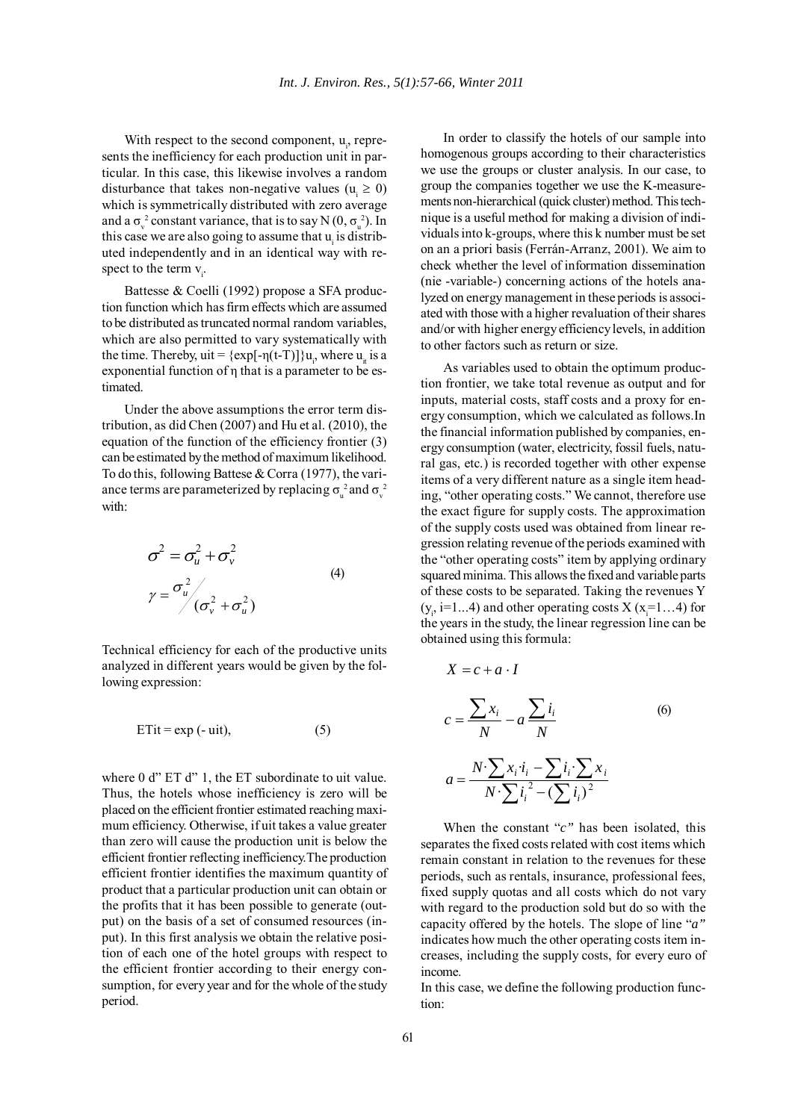With respect to the second component,  $u_i$ , represents the inefficiency for each production unit in particular. In this case, this likewise involves a random disturbance that takes non-negative values ( $u_i \ge 0$ ) which is symmetrically distributed with zero average and a  $\sigma_{v}^{2}$  constant variance, that is to say N  $(0, \sigma_{u}^{2})$ . In this case we are also going to assume that  $u_i$  is distributed independently and in an identical way with respect to the term  $v_i$ .

Battesse & Coelli (1992) propose a SFA production function which has firm effects which are assumed to be distributed as truncated normal random variables, which are also permitted to vary systematically with the time. Thereby,  $uit = \{ \exp[-\eta(t-T)] \} u_i$ , where  $u_i$  is a exponential function of η that is a parameter to be estimated.

Under the above assumptions the error term distribution, as did Chen (2007) and Hu et al. (2010), the equation of the function of the efficiency frontier (3) can be estimated by the method of maximum likelihood. To do this, following Battese & Corra (1977), the variance terms are parameterized by replacing  $\sigma_u^2$  and  $\sigma_v^2$ with:

$$
\sigma^2 = \sigma_u^2 + \sigma_v^2
$$
  
\n
$$
\gamma = \frac{\sigma_u^2}{(\sigma_v^2 + \sigma_u^2)}
$$
\n(4)

Technical efficiency for each of the productive units analyzed in different years would be given by the following expression:

$$
ETit = exp(-uit), \t(5)
$$

where 0 d" ET d" 1, the ET subordinate to uit value. Thus, the hotels whose inefficiency is zero will be placed on the efficient frontier estimated reaching maximum efficiency. Otherwise, if uit takes a value greater than zero will cause the production unit is below the efficient frontier reflecting inefficiency.The production efficient frontier identifies the maximum quantity of product that a particular production unit can obtain or the profits that it has been possible to generate (output) on the basis of a set of consumed resources (input). In this first analysis we obtain the relative position of each one of the hotel groups with respect to the efficient frontier according to their energy consumption, for every year and for the whole of the study period.

In order to classify the hotels of our sample into homogenous groups according to their characteristics we use the groups or cluster analysis. In our case, to group the companies together we use the K-measurements non-hierarchical (quick cluster) method. This technique is a useful method for making a division of individuals into k-groups, where this k number must be set on an a priori basis (Ferrán-Arranz, 2001). We aim to check whether the level of information dissemination (nie -variable-) concerning actions of the hotels analyzed on energy management in these periods is associated with those with a higher revaluation of their shares and/or with higher energy efficiency levels, in addition to other factors such as return or size.

As variables used to obtain the optimum production frontier, we take total revenue as output and for inputs, material costs, staff costs and a proxy for energy consumption, which we calculated as follows.In the financial information published by companies, energy consumption (water, electricity, fossil fuels, natural gas, etc.) is recorded together with other expense items of a very different nature as a single item heading, "other operating costs." We cannot, therefore use the exact figure for supply costs. The approximation of the supply costs used was obtained from linear regression relating revenue of the periods examined with the "other operating costs" item by applying ordinary squared minima. This allows the fixed and variable parts of these costs to be separated. Taking the revenues Y  $(y_i$ , i=1...4) and other operating costs X (x<sub>i</sub>=1...4) for the years in the study, the linear regression line can be obtained using this formula:

$$
X = c + a \cdot I
$$
  
\n
$$
c = \frac{\sum x_i}{N} - a \frac{\sum i_i}{N}
$$
  
\n
$$
a = \frac{N \cdot \sum x_i i_i - \sum i_i \sum x_i}{N \cdot \sum i_i^2 - (\sum i_i)^2}
$$
  
\n(6)

When the constant "*c"* has been isolated, this separates the fixed costs related with cost items which remain constant in relation to the revenues for these periods, such as rentals, insurance, professional fees, fixed supply quotas and all costs which do not vary with regard to the production sold but do so with the capacity offered by the hotels. The slope of line "*a"* indicates how much the other operating costs item increases, including the supply costs, for every euro of income.

In this case, we define the following production function: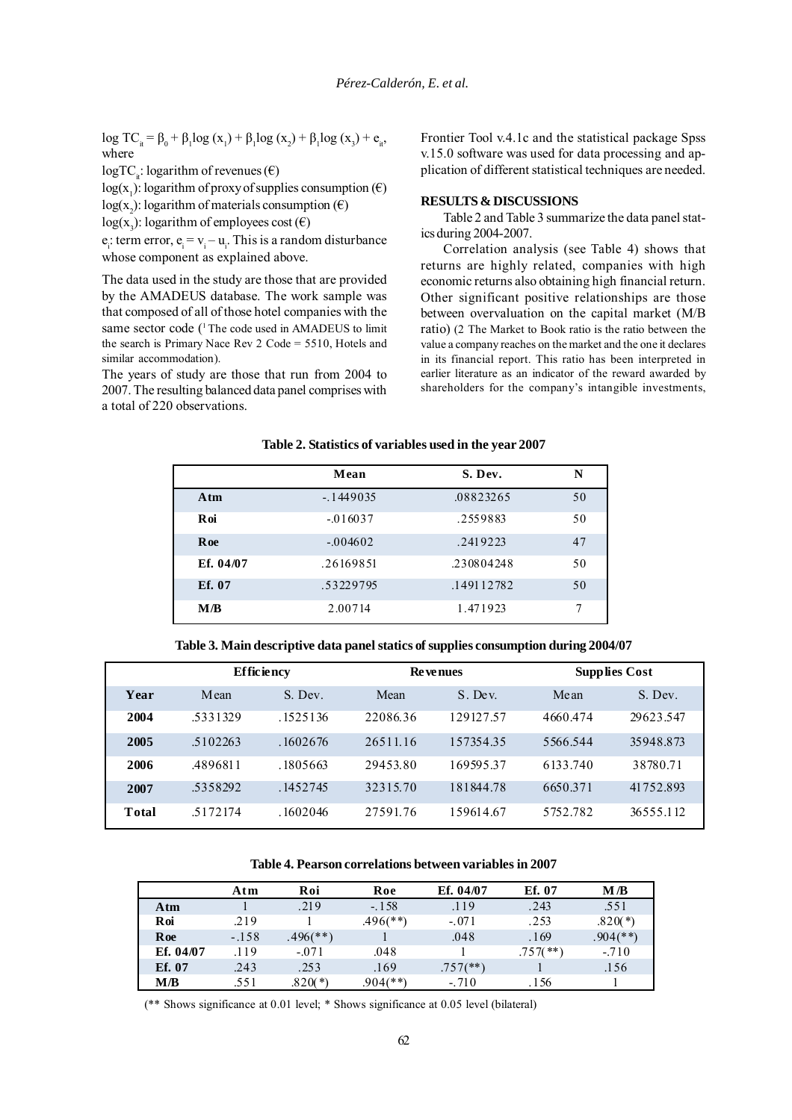log TC<sub>it</sub> = β<sub>0</sub> + β<sub>1</sub>log (x<sub>1</sub>) + β<sub>1</sub>log (x<sub>2</sub>) + β<sub>1</sub>log (x<sub>3</sub>) + e<sub>it</sub>, where

 $logTC$ : logarithm of revenues ( $\epsilon$ )

 $log(x_1)$ : logarithm of proxy of supplies consumption ( $\epsilon$ )

 $log(x_2)$ : logarithm of materials consumption  $(\epsilon)$ 

 $log(x_3)$ : logarithm of employees cost ( $\epsilon$ )

 $e_i$ : term error,  $e_i = v_i - u_i$ . This is a random disturbance whose component as explained above.

The data used in the study are those that are provided by the AMADEUS database. The work sample was that composed of all of those hotel companies with the same sector code (<sup>1</sup> The code used in AMADEUS to limit the search is Primary Nace Rev 2 Code = 5510, Hotels and similar accommodation).

The years of study are those that run from 2004 to 2007. The resulting balanced data panel comprises with a total of 220 observations.

Frontier Tool v.4.1c and the statistical package Spss v.15.0 software was used for data processing and application of different statistical techniques are needed.

#### **RESULTS & DISCUSSIONS**

Table 2 and Table 3 summarize the data panel statics during 2004-2007.

Correlation analysis (see Table 4) shows that returns are highly related, companies with high economic returns also obtaining high financial return. Other significant positive relationships are those between overvaluation on the capital market (M/B ratio) (2 The Market to Book ratio is the ratio between the value a company reaches on the market and the one it declares in its financial report. This ratio has been interpreted in earlier literature as an indicator of the reward awarded by shareholders for the company's intangible investments,

|             | Mean       | S. Dev.    | N  |
|-------------|------------|------------|----|
| A tm        | $-1449035$ | .08823265  | 50 |
| Roi         | $-0.16037$ | .2559883   | 50 |
| <b>R</b> oe | $-.004602$ | .2419223   | 47 |
| Ef. 04/07   | .26169851  | .230804248 | 50 |
| Ef. 07      | .53229795  | .149112782 | 50 |
| M/B         | 2.00714    | 1.471923   | 7  |
|             |            |            |    |

### **Table 2. Statistics of variables used in the year 2007**

**Table 3. Main descriptive data panel statics of supplies consumption during 2004/07**

|       |          | <b>Efficiency</b> |          | <b>Revenues</b> |          | <b>Supplies Cost</b> |
|-------|----------|-------------------|----------|-----------------|----------|----------------------|
| Year  | Mean     | S. Dev.           | Mean     | S. Dev.         | Mean     | S. Dev.              |
| 2004  | .5331329 | .1525136          | 22086.36 | 129127.57       | 4660.474 | 29623.547            |
| 2005  | .5102263 | .1602676          | 26511.16 | 157354.35       | 5566.544 | 35948.873            |
| 2006  | 4896811  | .1805663          | 29453.80 | 169595.37       | 6133.740 | 38780.71             |
| 2007  | .5358292 | .1452745          | 32315.70 | 181844.78       | 6650.371 | 41752.893            |
| Total | 5172174  | .1602046          | 27591.76 | 159614.67       | 5752.782 | 36555.112            |

## **Table 4. Pearson correlations between variables in 2007**

|           | Atm     | Roi         | Roe         | Ef. 04/07   | Ef. 07      | Мß          |
|-----------|---------|-------------|-------------|-------------|-------------|-------------|
| Atm       |         | .219        | $-.158$     | .119        | .243        | .551        |
| Roi       | .219    |             | .496(**)    | $-.071$     | .253        | $.820(*)$   |
| Roe       | $-.158$ | $.496$ (**` |             | .048        | .169        | $.904$ (**) |
| Ef. 04/07 | .119    | $-071$      | .048        |             | $.757$ (**) | $-.710$     |
| Ef. 07    | .243    | .253        | .169        | $.757$ (**) |             | .156        |
| МÆ        | .551    | $.820(*)$   | $.904$ (**) | $-.710$     | . 156       |             |

(\*\* Shows significance at 0.01 level; \* Shows significance at 0.05 level (bilateral)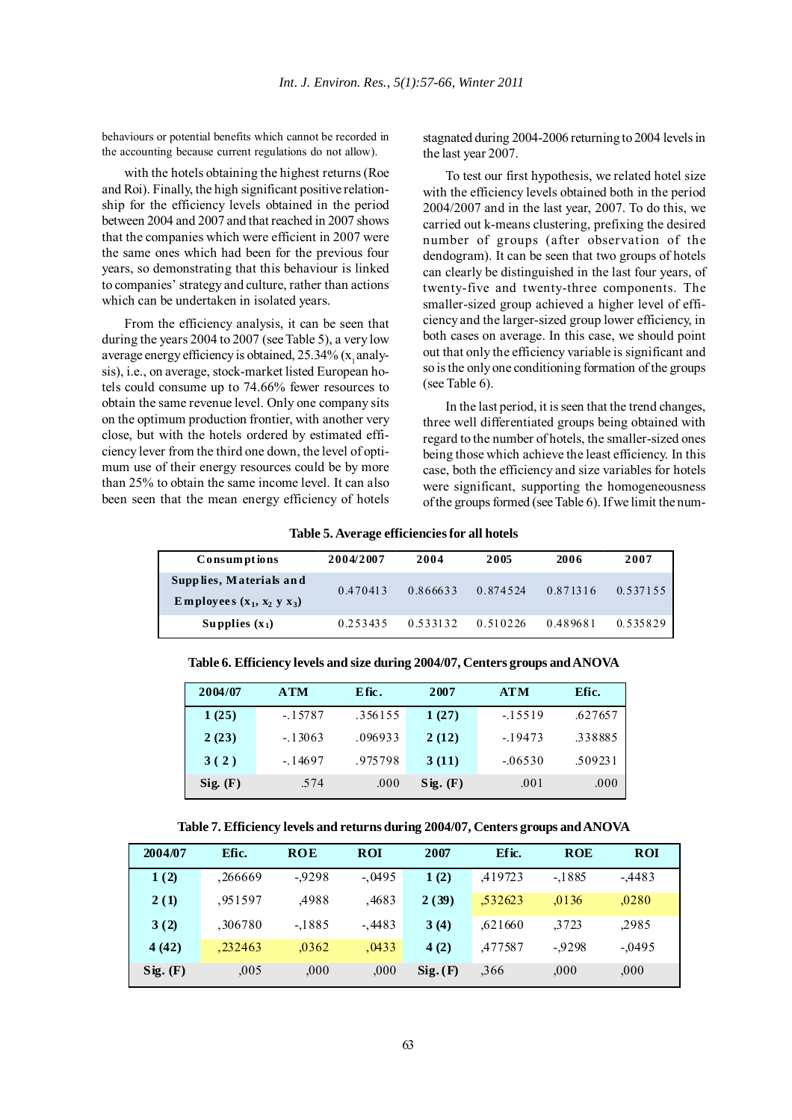behaviours or potential benefits which cannot be recorded in the accounting because current regulations do not allow).

with the hotels obtaining the highest returns (Roe and Roi). Finally, the high significant positive relationship for the efficiency levels obtained in the period between 2004 and 2007 and that reached in 2007 shows that the companies which were efficient in 2007 were the same ones which had been for the previous four years, so demonstrating that this behaviour is linked to companies' strategy and culture, rather than actions which can be undertaken in isolated years.

From the efficiency analysis, it can be seen that during the years 2004 to 2007 (see Table 5), a very low average energy efficiency is obtained,  $25.34\%$  (x<sub>1</sub> analysis), i.e., on average, stock-market listed European hotels could consume up to 74.66% fewer resources to obtain the same revenue level. Only one company sits on the optimum production frontier, with another very close, but with the hotels ordered by estimated efficiency lever from the third one down, the level of optimum use of their energy resources could be by more than 25% to obtain the same income level. It can also been seen that the mean energy efficiency of hotels stagnated during 2004-2006 returning to 2004 levels in the last year 2007.

To test our first hypothesis, we related hotel size with the efficiency levels obtained both in the period 2004/2007 and in the last year, 2007. To do this, we carried out k-means clustering, prefixing the desired number of groups (after observation of the dendogram). It can be seen that two groups of hotels can clearly be distinguished in the last four years, of twenty-five and twenty-three components. The smaller-sized group achieved a higher level of efficiency and the larger-sized group lower efficiency, in both cases on average. In this case, we should point out that only the efficiency variable is significant and so is the only one conditioning formation of the groups (see Table 6).

In the last period, it is seen that the trend changes, three well differentiated groups being obtained with regard to the number of hotels, the smaller-sized ones being those which achieve the least efficiency. In this case, both the efficiency and size variables for hotels were significant, supporting the homogeneousness of the groups formed (see Table 6). If we limit the num-

#### **Table 5. Average efficiencies for all hotels**

| Consumptions                                                | 2004/2007 | 2004     | 2005     | 2006     | 2007     |
|-------------------------------------------------------------|-----------|----------|----------|----------|----------|
| Supplies, Materials and<br>Employees $(x_1, x_2, y_1, x_2)$ | 0.470413  | 0.866633 | 0.874524 | 0.871316 | 0.537155 |
| Supplies $(x_1)$                                            | 0.253435  | 0.533132 | 0.510226 | 0.489681 | 0.535829 |

**Table 6. Efficiency levels and size during 2004/07, Centers groups and ANOVA**

| 2004/07  | <b>ATM</b> | E fic.  | 2007     | <b>ATM</b> | Efic.   |
|----------|------------|---------|----------|------------|---------|
| 1(25)    | $-15787$   | .356155 | 1(27)    | $-15519$   | .627657 |
| 2(23)    | $-13063$   | .096933 | 2(12)    | $-19473$   | .338885 |
| 3(2)     | $-14697$   | .975798 | 3(11)    | $-06530$   | .509231 |
| Sig. (F) | .574       | .000    | Sig. (F) | .001       | .000    |

**Table 7. Efficiency levels and returns during 2004/07, Centers groups and ANOVA**

| 2004/07  | Efic.   | <b>ROE</b> | <b>ROI</b> | 2007     | Ef ic.  | <b>ROE</b> | <b>ROI</b> |
|----------|---------|------------|------------|----------|---------|------------|------------|
| 1(2)     | .266669 | $-9298$    | $-.0495$   | 1(2)     | 419723  | $-1885$    | $-4483$    |
| 2(1)     | .951597 | .4988      | .4683      | 2(39)    | .532623 | .0136      | ,0280      |
| 3(2)     | .306780 | $-1885$    | $-.4483$   | 3(4)     | .621660 | 3723       | .2985      |
| 4(42)    | .232463 | .0362      | .0433      | 4(2)     | ,477587 | $-9298$    | $-0.0495$  |
| Sig. (F) | ,005    | .000       | .000.      | Sig. (F) | ,366    | ,000       | 000,       |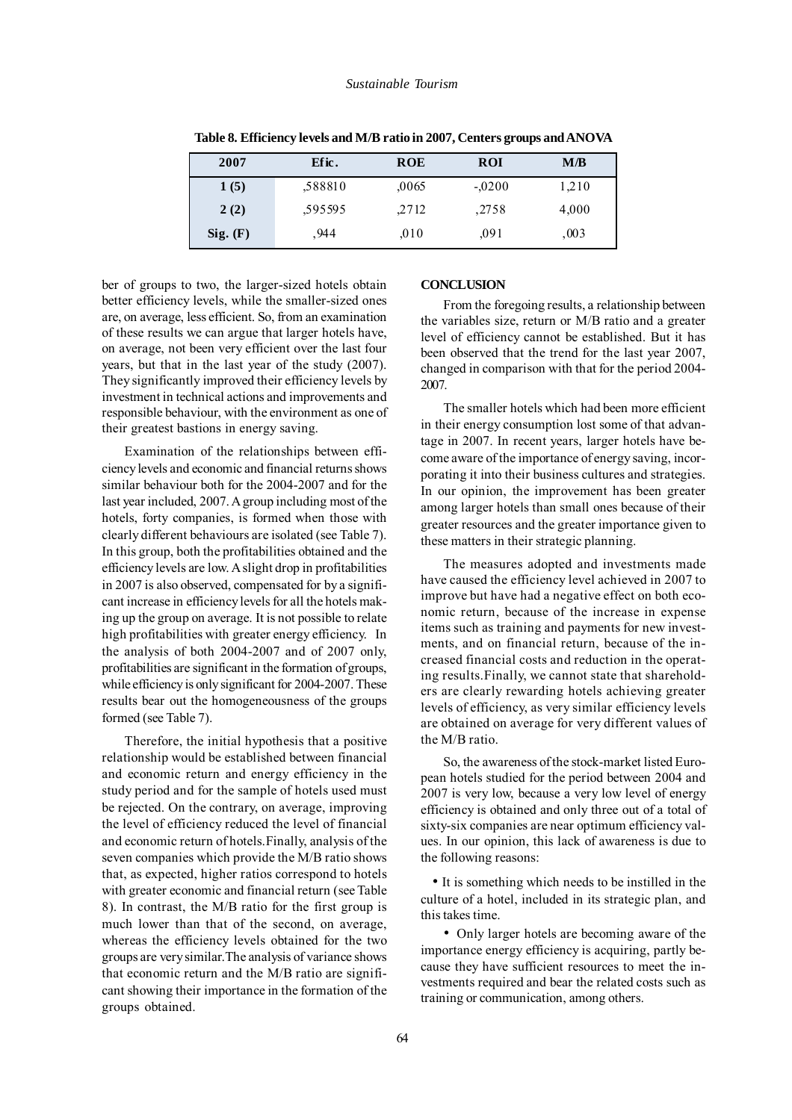| 2007     | Efic.   | <b>ROE</b> | <b>ROI</b> | M/B   |
|----------|---------|------------|------------|-------|
| 1(5)     | .588810 | ,0065      | $-.0200$   | 1,210 |
| 2(2)     | .595595 | .2712      | .2758      | 4,000 |
| Sig. (F) | .944    | .010       | .091       | ,003  |

**Table 8. Efficiency levels and M/B ratio in 2007, Centers groups and ANOVA**

ber of groups to two, the larger-sized hotels obtain better efficiency levels, while the smaller-sized ones are, on average, less efficient. So, from an examination of these results we can argue that larger hotels have, on average, not been very efficient over the last four years, but that in the last year of the study (2007). They significantly improved their efficiency levels by investment in technical actions and improvements and responsible behaviour, with the environment as one of their greatest bastions in energy saving.

Examination of the relationships between efficiency levels and economic and financial returns shows similar behaviour both for the 2004-2007 and for the last year included, 2007. A group including most of the hotels, forty companies, is formed when those with clearly different behaviours are isolated (see Table 7). In this group, both the profitabilities obtained and the efficiency levels are low. A slight drop in profitabilities in 2007 is also observed, compensated for by a significant increase in efficiency levels for all the hotels making up the group on average. It is not possible to relate high profitabilities with greater energy efficiency. In the analysis of both 2004-2007 and of 2007 only, profitabilities are significant in the formation of groups, while efficiency is only significant for 2004-2007. These results bear out the homogeneousness of the groups formed (see Table 7).

Therefore, the initial hypothesis that a positive relationship would be established between financial and economic return and energy efficiency in the study period and for the sample of hotels used must be rejected. On the contrary, on average, improving the level of efficiency reduced the level of financial and economic return of hotels.Finally, analysis of the seven companies which provide the M/B ratio shows that, as expected, higher ratios correspond to hotels with greater economic and financial return (see Table 8). In contrast, the M/B ratio for the first group is much lower than that of the second, on average, whereas the efficiency levels obtained for the two groups are very similar.The analysis of variance shows that economic return and the M/B ratio are significant showing their importance in the formation of the groups obtained.

# **CONCLUSION**

From the foregoing results, a relationship between the variables size, return or M/B ratio and a greater level of efficiency cannot be established. But it has been observed that the trend for the last year 2007, changed in comparison with that for the period 2004- 2007.

The smaller hotels which had been more efficient in their energy consumption lost some of that advantage in 2007. In recent years, larger hotels have become aware of the importance of energy saving, incorporating it into their business cultures and strategies. In our opinion, the improvement has been greater among larger hotels than small ones because of their greater resources and the greater importance given to these matters in their strategic planning.

The measures adopted and investments made have caused the efficiency level achieved in 2007 to improve but have had a negative effect on both economic return, because of the increase in expense items such as training and payments for new investments, and on financial return, because of the increased financial costs and reduction in the operating results.Finally, we cannot state that shareholders are clearly rewarding hotels achieving greater levels of efficiency, as very similar efficiency levels are obtained on average for very different values of the M/B ratio.

So, the awareness of the stock-market listed European hotels studied for the period between 2004 and 2007 is very low, because a very low level of energy efficiency is obtained and only three out of a total of sixty-six companies are near optimum efficiency values. In our opinion, this lack of awareness is due to the following reasons:

 • It is something which needs to be instilled in the culture of a hotel, included in its strategic plan, and this takes time.

 • Only larger hotels are becoming aware of the importance energy efficiency is acquiring, partly because they have sufficient resources to meet the investments required and bear the related costs such as training or communication, among others.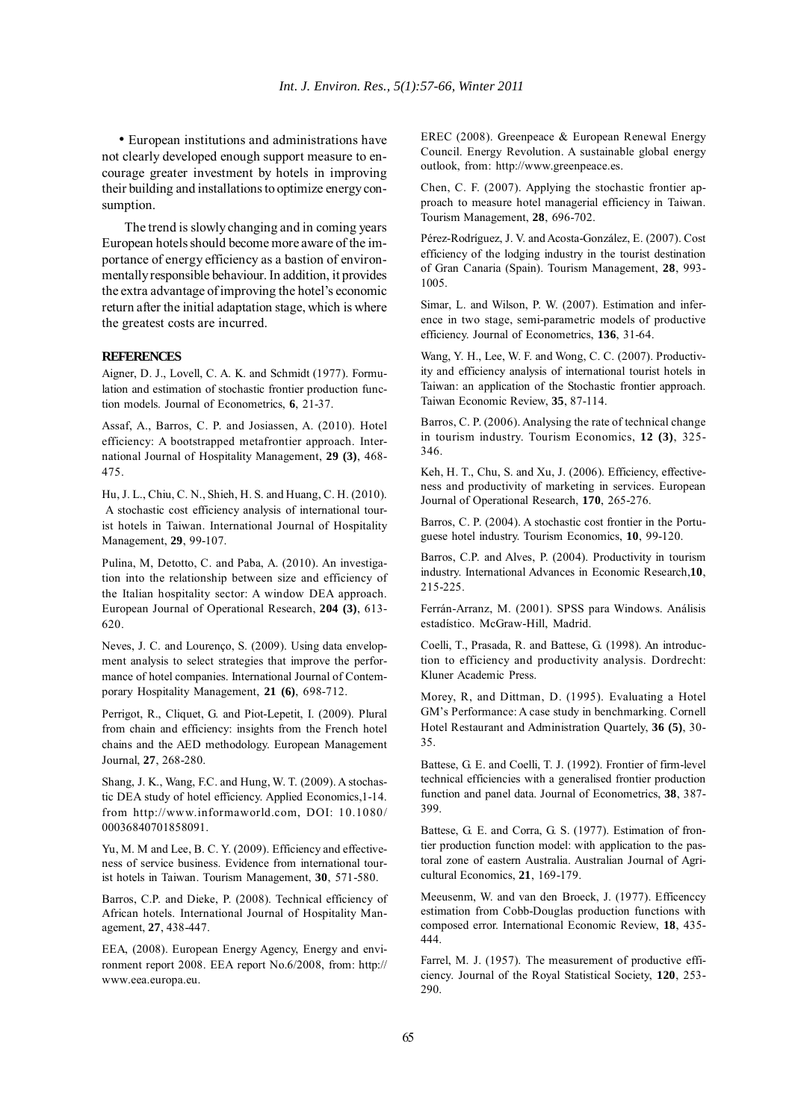• European institutions and administrations have not clearly developed enough support measure to encourage greater investment by hotels in improving their building and installations to optimize energy consumption.

The trend is slowly changing and in coming years European hotels should become more aware of the importance of energy efficiency as a bastion of environmentally responsible behaviour. In addition, it provides the extra advantage of improving the hotel's economic return after the initial adaptation stage, which is where the greatest costs are incurred.

#### **REFERENCES**

Aigner, D. J., Lovell, C. A. K. and Schmidt (1977). Formulation and estimation of stochastic frontier production function models. Journal of Econometrics, **6**, 21-37.

Assaf, A., Barros, C. P. and Josiassen, A. (2010). Hotel efficiency: A bootstrapped metafrontier approach. International Journal of Hospitality Management, **29 (3)**, 468- 475.

Hu, J. L., Chiu, C. N., Shieh, H. S. and Huang, C. H. (2010). A stochastic cost efficiency analysis of international tourist hotels in Taiwan. International Journal of Hospitality Management, **29**, 99-107.

Pulina, M, Detotto, C. and Paba, A. (2010). An investigation into the relationship between size and efficiency of the Italian hospitality sector: A window DEA approach. European Journal of Operational Research, **204 (3)**, 613- 620.

Neves, J. C. and Lourenço, S. (2009). Using data envelopment analysis to select strategies that improve the performance of hotel companies. International Journal of Contemporary Hospitality Management, **21 (6)**, 698-712.

Perrigot, R., Cliquet, G. and Piot-Lepetit, I. (2009). Plural from chain and efficiency: insights from the French hotel chains and the AED methodology. European Management Journal, **27**, 268-280.

Shang, J. K., Wang, F.C. and Hung, W. T. (2009). A stochastic DEA study of hotel efficiency. Applied Economics,1-14. from http://www.informaworld.com, DOI: 10.1080/ 00036840701858091.

Yu, M. M and Lee, B. C. Y. (2009). Efficiency and effectiveness of service business. Evidence from international tourist hotels in Taiwan. Tourism Management, **30**, 571-580.

Barros, C.P. and Dieke, P. (2008). Technical efficiency of African hotels. International Journal of Hospitality Management, **27**, 438-447.

EEA, (2008). European Energy Agency, Energy and environment report 2008. EEA report No.6/2008, from: http:// www.eea.europa.eu.

EREC (2008). Greenpeace & European Renewal Energy Council. Energy Revolution. A sustainable global energy outlook, from: http://www.greenpeace.es.

Chen, C. F. (2007). Applying the stochastic frontier approach to measure hotel managerial efficiency in Taiwan. Tourism Management, **28**, 696-702.

Pérez-Rodríguez, J. V. and Acosta-González, E. (2007). Cost efficiency of the lodging industry in the tourist destination of Gran Canaria (Spain). Tourism Management, **28**, 993- 1005.

Simar, L. and Wilson, P. W. (2007). Estimation and inference in two stage, semi-parametric models of productive efficiency. Journal of Econometrics, **136**, 31-64.

Wang, Y. H., Lee, W. F. and Wong, C. C. (2007). Productivity and efficiency analysis of international tourist hotels in Taiwan: an application of the Stochastic frontier approach. Taiwan Economic Review, **35**, 87-114.

Barros, C. P. (2006). Analysing the rate of technical change in tourism industry. Tourism Economics, **12 (3)**, 325- 346.

Keh, H. T., Chu, S. and Xu, J. (2006). Efficiency, effectiveness and productivity of marketing in services. European Journal of Operational Research, **170**, 265-276.

Barros, C. P. (2004). A stochastic cost frontier in the Portuguese hotel industry. Tourism Economics, **10**, 99-120.

Barros, C.P. and Alves, P. (2004). Productivity in tourism industry. International Advances in Economic Research,**10**, 215-225.

Ferrán-Arranz, M. (2001). SPSS para Windows. Análisis estadístico. McGraw-Hill, Madrid.

Coelli, T., Prasada, R. and Battese, G. (1998). An introduction to efficiency and productivity analysis. Dordrecht: Kluner Academic Press.

Morey, R, and Dittman, D. (1995). Evaluating a Hotel GM's Performance: A case study in benchmarking. Cornell Hotel Restaurant and Administration Quartely, **36 (5)**, 30- 35.

Battese, G. E. and Coelli, T. J. (1992). Frontier of firm-level technical efficiencies with a generalised frontier production function and panel data. Journal of Econometrics, **38**, 387- 399.

Battese, G. E. and Corra, G. S. (1977). Estimation of frontier production function model: with application to the pastoral zone of eastern Australia. Australian Journal of Agricultural Economics, **21**, 169-179.

Meeusenm, W. and van den Broeck, J. (1977). Efficenccy estimation from Cobb-Douglas production functions with composed error. International Economic Review, **18**, 435- 444.

Farrel, M. J. (1957). The measurement of productive efficiency. Journal of the Royal Statistical Society, **120**, 253- 290.